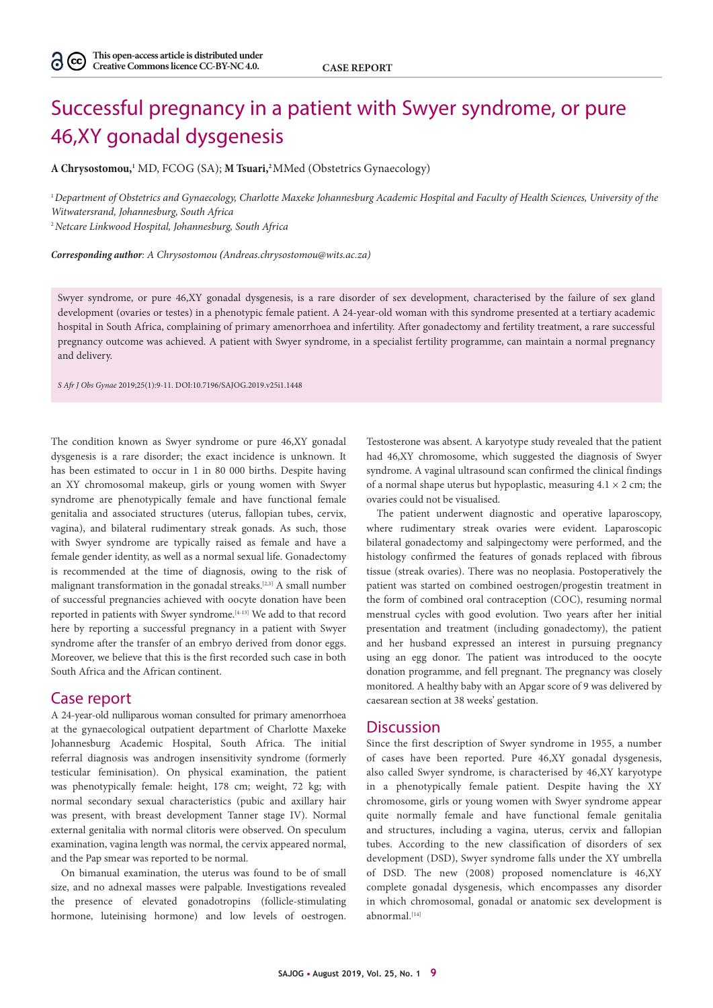## Successful pregnancy in a patient with Swyer syndrome, or pure 46,XY gonadal dysgenesis

**A Chrysostomou,1** MD, FCOG (SA); **M Tsuari,2** MMed (Obstetrics Gynaecology)

<sup>1</sup>*Department of Obstetrics and Gynaecology, Charlotte Maxeke Johannesburg Academic Hospital and Faculty of Health Sciences, University of the Witwatersrand, Johannesburg, South Africa*

<sup>2</sup>*Netcare Linkwood Hospital, Johannesburg, South Africa*

*Corresponding author: A Chrysostomou (Andreas.chrysostomou@wits.ac.za)*

Swyer syndrome, or pure 46,XY gonadal dysgenesis, is a rare disorder of sex development, characterised by the failure of sex gland development (ovaries or testes) in a phenotypic female patient. A 24-year-old woman with this syndrome presented at a tertiary academic hospital in South Africa, complaining of primary amenorrhoea and infertility. After gonadectomy and fertility treatment, a rare successful pregnancy outcome was achieved. A patient with Swyer syndrome, in a specialist fertility programme, can maintain a normal pregnancy and delivery.

*S Afr J Obs Gynae* 2019;25(1):9-11. DOI:10.7196/SAJOG.2019.v25i1.1448

The condition known as Swyer syndrome or pure 46,XY gonadal dysgenesis is a rare disorder; the exact incidence is unknown. It has been estimated to occur in 1 in 80 000 births. Despite having an XY chromosomal makeup, girls or young women with Swyer syndrome are phenotypically female and have functional female genitalia and associated structures (uterus, fallopian tubes, cervix, vagina), and bilateral rudimentary streak gonads. As such, those with Swyer syndrome are typically raised as female and have a female gender identity, as well as a normal sexual life. Gonadectomy is recommended at the time of diagnosis, owing to the risk of malignant transformation in the gonadal streaks.[2,3] A small number of successful pregnancies achieved with oocyte donation have been reported in patients with Swyer syndrome.[4-13] We add to that record here by reporting a successful pregnancy in a patient with Swyer syndrome after the transfer of an embryo derived from donor eggs. Moreover, we believe that this is the first recorded such case in both South Africa and the African continent.

## Case report

A 24-year-old nulliparous woman consulted for primary amenorrhoea at the gynaecological outpatient department of Charlotte Maxeke Johannesburg Academic Hospital, South Africa. The initial referral diagnosis was androgen insensitivity syndrome (formerly testicular feminisation). On physical examination, the patient was phenotypically female: height, 178 cm; weight, 72 kg; with normal secondary sexual characteristics (pubic and axillary hair was present, with breast development Tanner stage IV). Normal external genitalia with normal clitoris were observed. On speculum examination, vagina length was normal, the cervix appeared normal, and the Pap smear was reported to be normal.

On bimanual examination, the uterus was found to be of small size, and no adnexal masses were palpable. Investigations revealed the presence of elevated gonadotropins (follicle-stimulating hormone, luteinising hormone) and low levels of oestrogen.

Testosterone was absent. A karyotype study revealed that the patient had 46,XY chromosome, which suggested the diagnosis of Swyer syndrome. A vaginal ultrasound scan confirmed the clinical findings of a normal shape uterus but hypoplastic, measuring  $4.1 \times 2$  cm; the ovaries could not be visualised.

The patient underwent diagnostic and operative laparoscopy, where rudimentary streak ovaries were evident. Laparoscopic bilateral gonadectomy and salpingectomy were performed, and the histology confirmed the features of gonads replaced with fibrous tissue (streak ovaries). There was no neoplasia. Postoperatively the patient was started on combined oestrogen/progestin treatment in the form of combined oral contraception (COC), resuming normal menstrual cycles with good evolution. Two years after her initial presentation and treatment (including gonadectomy), the patient and her husband expressed an interest in pursuing pregnancy using an egg donor. The patient was introduced to the oocyte donation programme, and fell pregnant. The pregnancy was closely monitored. A healthy baby with an Apgar score of 9 was delivered by caesarean section at 38 weeks' gestation.

## **Discussion**

Since the first description of Swyer syndrome in 1955, a number of cases have been reported. Pure 46,XY gonadal dysgenesis, also called Swyer syndrome, is characterised by 46,XY karyotype in a phenotypically female patient. Despite having the XY chromosome, girls or young women with Swyer syndrome appear quite normally female and have functional female genitalia and structures, including a vagina, uterus, cervix and fallopian tubes. According to the new classification of disorders of sex development (DSD), Swyer syndrome falls under the XY umbrella of DSD. The new (2008) proposed nomenclature is 46,XY complete gonadal dysgenesis, which encompasses any disorder in which chromosomal, gonadal or anatomic sex development is abnormal.[14]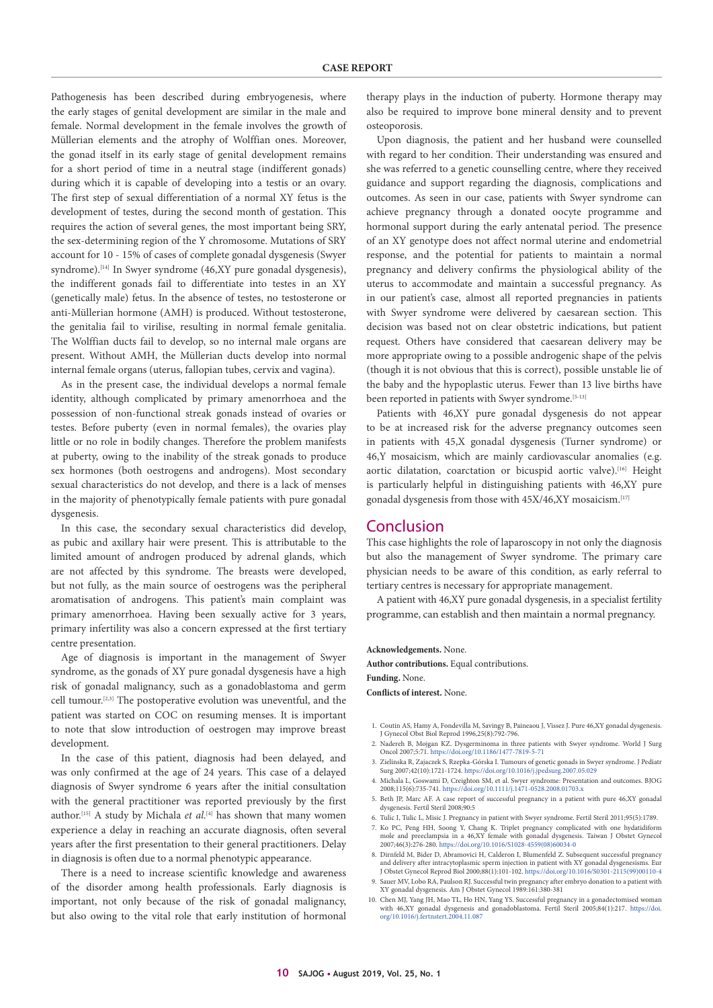Pathogenesis has been described during embryogenesis, where the early stages of genital development are similar in the male and female. Normal development in the female involves the growth of Müllerian elements and the atrophy of Wolffian ones. Moreover, the gonad itself in its early stage of genital development remains for a short period of time in a neutral stage (indifferent gonads) during which it is capable of developing into a testis or an ovary. The first step of sexual differentiation of a normal XY fetus is the development of testes, during the second month of gestation. This requires the action of several genes, the most important being SRY, the sex-determining region of the Y chromosome. Mutations of SRY account for 10 - 15% of cases of complete gonadal dysgenesis (Swyer syndrome).<sup>[14]</sup> In Swyer syndrome (46,XY pure gonadal dysgenesis), the indifferent gonads fail to differentiate into testes in an XY (genetically male) fetus. In the absence of testes, no testosterone or anti-Müllerian hormone (AMH) is produced. Without testosterone, the genitalia fail to virilise, resulting in normal female genitalia. The Wolffian ducts fail to develop, so no internal male organs are present. Without AMH, the Müllerian ducts develop into normal internal female organs (uterus, fallopian tubes, cervix and vagina).

As in the present case, the individual develops a normal female identity, although complicated by primary amenorrhoea and the possession of non-functional streak gonads instead of ovaries or testes. Before puberty (even in normal females), the ovaries play little or no role in bodily changes. Therefore the problem manifests at puberty, owing to the inability of the streak gonads to produce sex hormones (both oestrogens and androgens). Most secondary sexual characteristics do not develop, and there is a lack of menses in the majority of phenotypically female patients with pure gonadal dysgenesis.

In this case, the secondary sexual characteristics did develop, as pubic and axillary hair were present. This is attributable to the limited amount of androgen produced by adrenal glands, which are not affected by this syndrome. The breasts were developed, but not fully, as the main source of oestrogens was the peripheral aromatisation of androgens. This patient's main complaint was primary amenorrhoea. Having been sexually active for 3 years, primary infertility was also a concern expressed at the first tertiary centre presentation.

Age of diagnosis is important in the management of Swyer syndrome, as the gonads of XY pure gonadal dysgenesis have a high risk of gonadal malignancy, such as a gonadoblastoma and germ cell tumour.[2,3] The postoperative evolution was uneventful, and the patient was started on COC on resuming menses. It is important to note that slow introduction of oestrogen may improve breast development

In the case of this patient, diagnosis had been delayed, and was only confirmed at the age of 24 years. This case of a delayed diagnosis of Swyer syndrome 6 years after the initial consultation with the general practitioner was reported previously by the first author.<sup>[15]</sup> A study by Michala *et al*.<sup>[4]</sup> has shown that many women experience a delay in reaching an accurate diagnosis, often several years after the first presentation to their general practitioners. Delay in diagnosis is often due to a normal phenotypic appearance.

There is a need to increase scientific knowledge and awareness of the disorder among health professionals. Early diagnosis is important, not only because of the risk of gonadal malignancy, but also owing to the vital role that early institution of hormonal therapy plays in the induction of puberty. Hormone therapy may also be required to improve bone mineral density and to prevent osteoporosis.

Upon diagnosis, the patient and her husband were counselled with regard to her condition. Their understanding was ensured and she was referred to a genetic counselling centre, where they received guidance and support regarding the diagnosis, complications and outcomes. As seen in our case, patients with Swyer syndrome can achieve pregnancy through a donated oocyte programme and hormonal support during the early antenatal period. The presence of an XY genotype does not affect normal uterine and endometrial response, and the potential for patients to maintain a normal pregnancy and delivery confirms the physiological ability of the uterus to accommodate and maintain a successful pregnancy. As in our patient's case, almost all reported pregnancies in patients with Swyer syndrome were delivered by caesarean section. This decision was based not on clear obstetric indications, but patient request. Others have considered that caesarean delivery may be more appropriate owing to a possible androgenic shape of the pelvis (though it is not obvious that this is correct), possible unstable lie of the baby and the hypoplastic uterus. Fewer than 13 live births have been reported in patients with Swyer syndrome.<sup>[5-13]</sup>

Patients with 46,XY pure gonadal dysgenesis do not appear to be at increased risk for the adverse pregnancy outcomes seen in patients with 45,X gonadal dysgenesis (Turner syndrome) or 46,Y mosaicism, which are mainly cardiovascular anomalies (e.g. aortic dilatation, coarctation or bicuspid aortic valve).<sup>[16]</sup> Height is particularly helpful in distinguishing patients with 46,XY pure gonadal dysgenesis from those with 45X/46,XY mosaicism.<sup>[17]</sup>

## Conclusion

This case highlights the role of laparoscopy in not only the diagnosis but also the management of Swyer syndrome. The primary care physician needs to be aware of this condition, as early referral to tertiary centres is necessary for appropriate management.

A patient with 46,XY pure gonadal dysgenesis, in a specialist fertility programme, can establish and then maintain a normal pregnancy.

**Acknowledgements.** None. **Author contributions.** Equal contributions. **Funding.** None. **Conflicts of interest.** None.

- 1. Coutin AS, Hamy A, Fondevilla M, Savingy B, Paineaou J, Vissez J. Pure 46,XY gonadal dysgenesis. J Gynecol Obst Biol Reprod 1996,25(8):792-796.
- 2. Nadereh B, Mojgan KZ. Dysgerminoma in three patients with Swyer syndrome. World J Surg Oncol 2007;5:71. <https://doi.org/10.1186/1477-7819-5-71>
- 3. Zielinska R, Zajaczek S, Rzepka-Górska I. Tumours of genetic gonads in Swyer syndrome. J Pediatr Surg 2007;42(10):1721-1724. <https://doi.org/10.1016/j.jpedsurg.2007.05.029>
- 4. Michala L, Goswami D, Creighton SM, et al. Swyer syndrome: Presentation and outcomes. BJOG 2008;115(6):735-741. <https://doi.org/10.1111/j.1471-0528.2008.01703.x>
- 5. Beth JP, Marc AF. A case report of successful pregnancy in a patient with pure 46,XY gonadal dysgenesis. Fertil Steril 2008;90:5
- 6. Tulic I, Tulic L, Misic J. Pregnancy in patient with Swyer syndrome. Fertil Steril 2011;95(5):1789. 7. Ko PC, Peng HH, Soong Y, Chang K. Triplet pregnancy complicated with one hydatidiform mole and preeclampsia in a 46,XY female with gonadal dysgenesis. Taiwan J Obstet Gynecol
- 2007;46(3):276-280. [https://doi.org/10.1016/S1028-4559\(08\)60034-0](https://doi.org/10.1016/S1028-4559(08)60034-0) 8. Dirnfeld M, Bider D, Abramovici H, Calderon I, Blumenfeld Z. Subsequent successful pregnancy
- and delivery after intracytoplasmic sperm injection in patient with XY gonadal dysgenesisms. Eur J Obstet Gynecol Reprod Biol 2000;88(1):101-102. [https://doi.org/10.1016/S0301-2115\(99\)00110-4](https://doi.org/10.1016/S0301-2115(99)00110-4) 9. Sauer MV, Lobo RA, Paulson RJ. Successful twin pregnancy after embryo donation to a patient with XY gonadal dysgenesis. Am J Obstet Gynecol 1989:161:380-381
- 10. Chen MJ, Yang JH, Mao TL, Ho HN, Yang YS. Successful pregnancy in a gonadectomised woman with 46,XY gonadal dysgenesis and gonadoblastoma. Fertil Steril 2005;84(1):217. [https://doi.](https://doi.org/10.1016/j.fertnstert.2004.11.087) [org/10.1016/j.fertnstert.2004.11.087](https://doi.org/10.1016/j.fertnstert.2004.11.087)